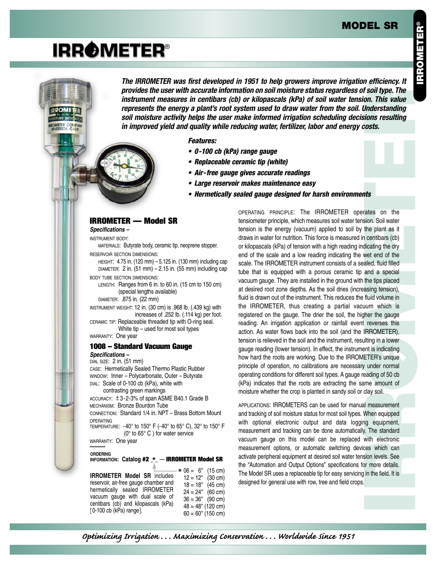### **MODEL SR**

# **IRROMETER®**

**IRROMETER DISTURE INDICATOR** ROMETER COMPANY<br>RIVERSIDE, CALIF

**The IRROMETER was first developed in 1951 to help growers improve irrigation efficiency. It provides the user with accurate information on soil moisture status regardless of soil type. The instrument measures in centibars (cb) or kilopascals (kPa) of soil water tension. This value represents the energy a plant's root system used to draw water from the soil. Understanding soil moisture activity helps the user make informed irrigation scheduling decisions resulting in improved yield and quality while reducing water, fertilizer, labor and energy costs.**

**Features:**

- **0-100 cb (kPa) range gauge**
- **Replaceable ceramic tip (white)**
- **Air-free gauge gives accurate readings**
- **Large reservoir makes maintenance easy**
- **Hermetically sealed gauge designed for harsh environments**

#### **IRROMETER — Model SR**

**Specifications –**

INSTRUMENT BODY:

MATERIALS: Butyrate body, ceramic tip, neoprene stopper. RESERVOIR SECTION DIMENSIONS:

HEIGHT: 4.75 in. (120 mm) – 5.125 in. (130 mm) including cap DIAMETER: 2 in.  $(51 \text{ mm}) - 2.15$  in.  $(55 \text{ mm})$  including cap BODY TUBE SECTION DIMENSIONS:

LENGTH: Ranges from 6 in. to 60 in. (15 cm to 150 cm) (special lengths available) DIAMETER: .875 in. (22 mm)

INSTRUMENT WEIGHT: 12 in. (30 cm) is .968 lb. (.439 kg) with increases of .252 lb. (.114 kg) per foot. CERAMIC TIP: Replaceable threaded tip with O-ring seal.

White tip – used for most soil types WARRANTY: One year

# **1008 – Standard Vacuum Gauge**

**Specifications –**

DIAL SIZE: 2 in. (51 mm) CASE: Hermetically Sealed Thermo Plastic Rubber WINDOW: Inner – Polycarbonate, Outer – Butyrate DIAL: Scale of 0-100 cb (kPa), white with contrasting green markings  $ACCURACT:  $\pm 3-2-3\%$  of span  $ASMEB40.1$  Grade  $B$$ MECHANISM: Bronze Bourdon Tube CONNECTION: Standard 1/4 in. NPT – Brass Bottom Mount OPERATING TEMPERATURE: -40° to 150° F (-40° to 65° C), 32° to 150° F (0° to 65° C ) for water service WARRANTY: One year **ORDERING INFORMATION: Catalog #2 \_ \_** — **IRROMETER Model SR** \*

**IRROMETER Model SR** includes reservoir, air-free gauge chamber and hermetically sealed IRROMETER vacuum gauge with dual scale of centibars (cb) and kilopascals (kPa) [0-100 cb (kPa) range].  $* 06 = 6" (15 cm)$ <br>12 = 12" (30 cm)  $12 = 12^{\circ}$  (30 cm)<br> $18 = 18^{\circ}$  (45 cm)  $18 = 18"$  $24 = 24"$  (60 cm)  $36 = 36"$  (90 cm)  $48 = 48" (120 cm)$  $60 = 60$ " (150 cm) OPERATING PRINCIPLE: The IRROMETER operates on the tensiometer principle, which measures soil water tension. Soil water tension is the energy (vacuum) applied to soil by the plant as it draws in water for nutrition. This force is measured in centibars (cb) or kilopascals (kPa) of tension with a high reading indicating the dry end of the scale and a low reading indicating the wet end of the scale. The IRROMETER instrument consists of a sealed, fluid filled tube that is equipped with a porous ceramic tip and a special vacuum gauge. They are installed in the ground with the tips placed at desired root zone depths. As the soil dries (increasing tension), fluid is drawn out of the instrument. This reduces the fluid volume in the IRROMETER, thus creating a partial vacuum which is registered on the gauge. The drier the soil, the higher the gauge reading. An irrigation application or rainfall event reverses this action. As water flows back into the soil (and the IRROMETER), tension is relieved in the soil and the instrument, resulting in a lower gauge reading (lower tension). In effect, the instrument is indicating how hard the roots are working. Due to the IRROMETER's unique principle of operation, no calibrations are necessary under normal operating conditions for different soil types. A gauge reading of 50 cb (kPa) indicates that the roots are extracting the same amount of moisture whether the crop is planted in sandy soil or clay soil.

APPLICATIONS: IRROMETERS can be used for manual measurement and tracking of soil moisture status for most soil types. When equipped with optional electronic output and data logging equipment, measurement and tracking can be done automatically. The standard vacuum gauge on this model can be replaced with electronic measurement options, or automatic switching devices which can activate peripheral equipment at desired soil water tension levels. See the "Automation and Output Options" specifications for more details. The Model SR uses a replaceable tip for easy servicing in the field. It is designed for general use with row, tree and field crops.

*Optimizing Irrigation . . . Maximizing Conservation . . . Worldwide Since 1951*